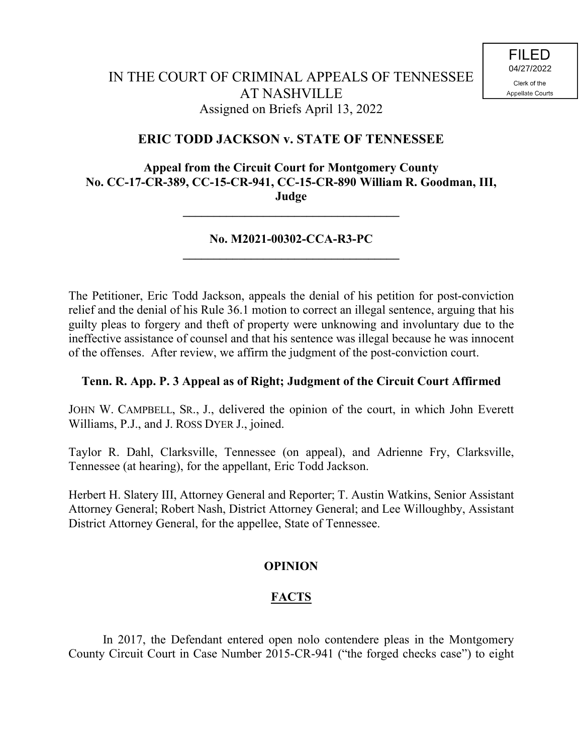## **ERIC TODD JACKSON v. STATE OF TENNESSEE**

#### **Appeal from the Circuit Court for Montgomery County No. CC-17-CR-389, CC-15-CR-941, CC-15-CR-890 William R. Goodman, III, Judge**

### **No. M2021-00302-CCA-R3-PC \_\_\_\_\_\_\_\_\_\_\_\_\_\_\_\_\_\_\_\_\_\_\_\_\_\_\_\_\_\_\_\_\_\_\_**

**\_\_\_\_\_\_\_\_\_\_\_\_\_\_\_\_\_\_\_\_\_\_\_\_\_\_\_\_\_\_\_\_\_\_\_**

The Petitioner, Eric Todd Jackson, appeals the denial of his petition for post-conviction relief and the denial of his Rule 36.1 motion to correct an illegal sentence, arguing that his guilty pleas to forgery and theft of property were unknowing and involuntary due to the ineffective assistance of counsel and that his sentence was illegal because he was innocent of the offenses. After review, we affirm the judgment of the post-conviction court.

#### **Tenn. R. App. P. 3 Appeal as of Right; Judgment of the Circuit Court Affirmed**

JOHN W. CAMPBELL, SR., J., delivered the opinion of the court, in which John Everett Williams, P.J., and J. ROSS DYER J., joined.

Taylor R. Dahl, Clarksville, Tennessee (on appeal), and Adrienne Fry, Clarksville, Tennessee (at hearing), for the appellant, Eric Todd Jackson.

Herbert H. Slatery III, Attorney General and Reporter; T. Austin Watkins, Senior Assistant Attorney General; Robert Nash, District Attorney General; and Lee Willoughby, Assistant District Attorney General, for the appellee, State of Tennessee.

#### **OPINION**

### **FACTS**

In 2017, the Defendant entered open nolo contendere pleas in the Montgomery County Circuit Court in Case Number 2015-CR-941 ("the forged checks case") to eight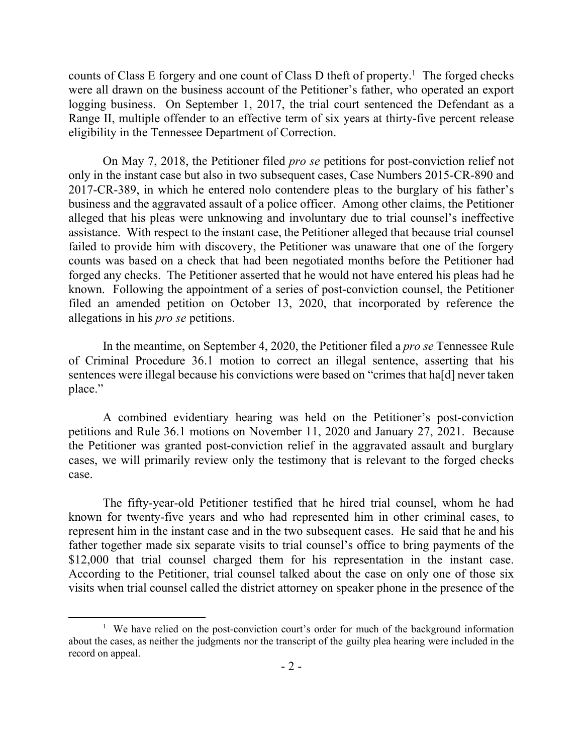counts of Class E forgery and one count of Class D theft of property. 1 The forged checks were all drawn on the business account of the Petitioner's father, who operated an export logging business. On September 1, 2017, the trial court sentenced the Defendant as a Range II, multiple offender to an effective term of six years at thirty-five percent release eligibility in the Tennessee Department of Correction.

On May 7, 2018, the Petitioner filed *pro se* petitions for post-conviction relief not only in the instant case but also in two subsequent cases, Case Numbers 2015-CR-890 and 2017-CR-389, in which he entered nolo contendere pleas to the burglary of his father's business and the aggravated assault of a police officer. Among other claims, the Petitioner alleged that his pleas were unknowing and involuntary due to trial counsel's ineffective assistance. With respect to the instant case, the Petitioner alleged that because trial counsel failed to provide him with discovery, the Petitioner was unaware that one of the forgery counts was based on a check that had been negotiated months before the Petitioner had forged any checks. The Petitioner asserted that he would not have entered his pleas had he known. Following the appointment of a series of post-conviction counsel, the Petitioner filed an amended petition on October 13, 2020, that incorporated by reference the allegations in his *pro se* petitions.

In the meantime, on September 4, 2020, the Petitioner filed a *pro se* Tennessee Rule of Criminal Procedure 36.1 motion to correct an illegal sentence, asserting that his sentences were illegal because his convictions were based on "crimes that ha[d] never taken place."

A combined evidentiary hearing was held on the Petitioner's post-conviction petitions and Rule 36.1 motions on November 11, 2020 and January 27, 2021. Because the Petitioner was granted post-conviction relief in the aggravated assault and burglary cases, we will primarily review only the testimony that is relevant to the forged checks case.

The fifty-year-old Petitioner testified that he hired trial counsel, whom he had known for twenty-five years and who had represented him in other criminal cases, to represent him in the instant case and in the two subsequent cases. He said that he and his father together made six separate visits to trial counsel's office to bring payments of the \$12,000 that trial counsel charged them for his representation in the instant case. According to the Petitioner, trial counsel talked about the case on only one of those six visits when trial counsel called the district attorney on speaker phone in the presence of the

 $\overline{a}$ 

<sup>&</sup>lt;sup>1</sup> We have relied on the post-conviction court's order for much of the background information about the cases, as neither the judgments nor the transcript of the guilty plea hearing were included in the record on appeal.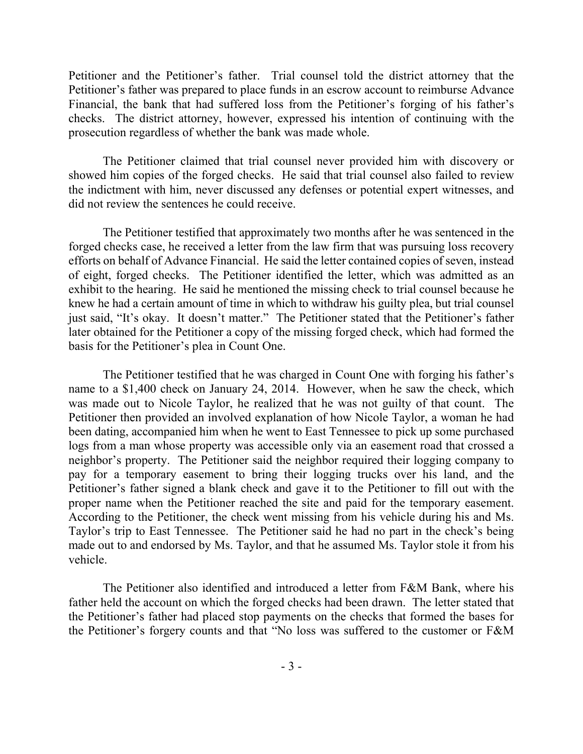Petitioner and the Petitioner's father. Trial counsel told the district attorney that the Petitioner's father was prepared to place funds in an escrow account to reimburse Advance Financial, the bank that had suffered loss from the Petitioner's forging of his father's checks. The district attorney, however, expressed his intention of continuing with the prosecution regardless of whether the bank was made whole.

The Petitioner claimed that trial counsel never provided him with discovery or showed him copies of the forged checks. He said that trial counsel also failed to review the indictment with him, never discussed any defenses or potential expert witnesses, and did not review the sentences he could receive.

The Petitioner testified that approximately two months after he was sentenced in the forged checks case, he received a letter from the law firm that was pursuing loss recovery efforts on behalf of Advance Financial. He said the letter contained copies of seven, instead of eight, forged checks. The Petitioner identified the letter, which was admitted as an exhibit to the hearing. He said he mentioned the missing check to trial counsel because he knew he had a certain amount of time in which to withdraw his guilty plea, but trial counsel just said, "It's okay. It doesn't matter." The Petitioner stated that the Petitioner's father later obtained for the Petitioner a copy of the missing forged check, which had formed the basis for the Petitioner's plea in Count One.

The Petitioner testified that he was charged in Count One with forging his father's name to a \$1,400 check on January 24, 2014. However, when he saw the check, which was made out to Nicole Taylor, he realized that he was not guilty of that count. The Petitioner then provided an involved explanation of how Nicole Taylor, a woman he had been dating, accompanied him when he went to East Tennessee to pick up some purchased logs from a man whose property was accessible only via an easement road that crossed a neighbor's property. The Petitioner said the neighbor required their logging company to pay for a temporary easement to bring their logging trucks over his land, and the Petitioner's father signed a blank check and gave it to the Petitioner to fill out with the proper name when the Petitioner reached the site and paid for the temporary easement. According to the Petitioner, the check went missing from his vehicle during his and Ms. Taylor's trip to East Tennessee. The Petitioner said he had no part in the check's being made out to and endorsed by Ms. Taylor, and that he assumed Ms. Taylor stole it from his vehicle.

The Petitioner also identified and introduced a letter from F&M Bank, where his father held the account on which the forged checks had been drawn. The letter stated that the Petitioner's father had placed stop payments on the checks that formed the bases for the Petitioner's forgery counts and that "No loss was suffered to the customer or F&M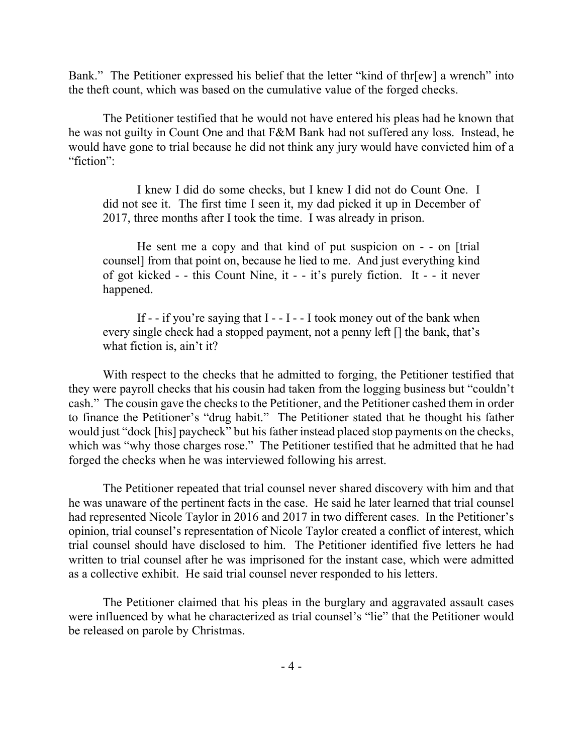Bank." The Petitioner expressed his belief that the letter "kind of thr[ew] a wrench" into the theft count, which was based on the cumulative value of the forged checks.

The Petitioner testified that he would not have entered his pleas had he known that he was not guilty in Count One and that F&M Bank had not suffered any loss. Instead, he would have gone to trial because he did not think any jury would have convicted him of a "fiction":

I knew I did do some checks, but I knew I did not do Count One. I did not see it. The first time I seen it, my dad picked it up in December of 2017, three months after I took the time. I was already in prison.

He sent me a copy and that kind of put suspicion on - - on [trial counsel] from that point on, because he lied to me. And just everything kind of got kicked - - this Count Nine, it - - it's purely fiction. It - - it never happened.

If  $-$  if you're saying that I  $-$  I  $-$  I took money out of the bank when every single check had a stopped payment, not a penny left [] the bank, that's what fiction is, ain't it?

With respect to the checks that he admitted to forging, the Petitioner testified that they were payroll checks that his cousin had taken from the logging business but "couldn't cash." The cousin gave the checks to the Petitioner, and the Petitioner cashed them in order to finance the Petitioner's "drug habit." The Petitioner stated that he thought his father would just "dock [his] paycheck" but his father instead placed stop payments on the checks, which was "why those charges rose." The Petitioner testified that he admitted that he had forged the checks when he was interviewed following his arrest.

The Petitioner repeated that trial counsel never shared discovery with him and that he was unaware of the pertinent facts in the case. He said he later learned that trial counsel had represented Nicole Taylor in 2016 and 2017 in two different cases. In the Petitioner's opinion, trial counsel's representation of Nicole Taylor created a conflict of interest, which trial counsel should have disclosed to him. The Petitioner identified five letters he had written to trial counsel after he was imprisoned for the instant case, which were admitted as a collective exhibit. He said trial counsel never responded to his letters.

The Petitioner claimed that his pleas in the burglary and aggravated assault cases were influenced by what he characterized as trial counsel's "lie" that the Petitioner would be released on parole by Christmas.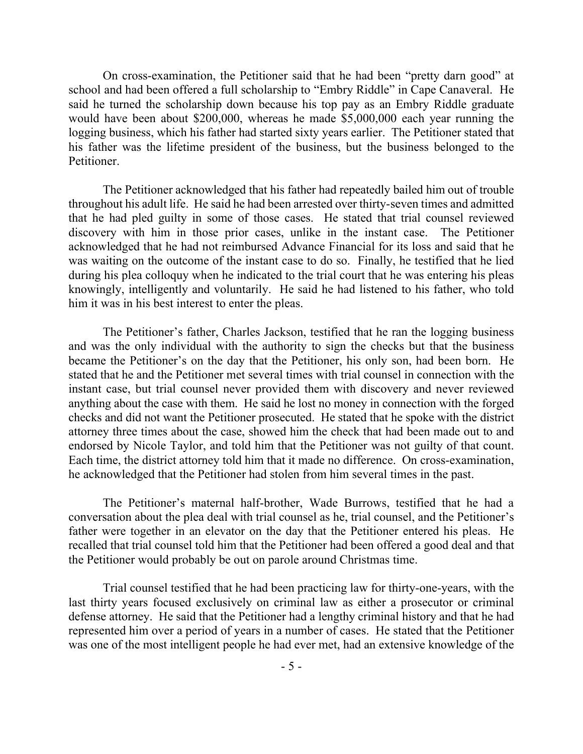On cross-examination, the Petitioner said that he had been "pretty darn good" at school and had been offered a full scholarship to "Embry Riddle" in Cape Canaveral. He said he turned the scholarship down because his top pay as an Embry Riddle graduate would have been about \$200,000, whereas he made \$5,000,000 each year running the logging business, which his father had started sixty years earlier. The Petitioner stated that his father was the lifetime president of the business, but the business belonged to the Petitioner.

The Petitioner acknowledged that his father had repeatedly bailed him out of trouble throughout his adult life. He said he had been arrested over thirty-seven times and admitted that he had pled guilty in some of those cases. He stated that trial counsel reviewed discovery with him in those prior cases, unlike in the instant case. The Petitioner acknowledged that he had not reimbursed Advance Financial for its loss and said that he was waiting on the outcome of the instant case to do so. Finally, he testified that he lied during his plea colloquy when he indicated to the trial court that he was entering his pleas knowingly, intelligently and voluntarily. He said he had listened to his father, who told him it was in his best interest to enter the pleas.

The Petitioner's father, Charles Jackson, testified that he ran the logging business and was the only individual with the authority to sign the checks but that the business became the Petitioner's on the day that the Petitioner, his only son, had been born. He stated that he and the Petitioner met several times with trial counsel in connection with the instant case, but trial counsel never provided them with discovery and never reviewed anything about the case with them. He said he lost no money in connection with the forged checks and did not want the Petitioner prosecuted. He stated that he spoke with the district attorney three times about the case, showed him the check that had been made out to and endorsed by Nicole Taylor, and told him that the Petitioner was not guilty of that count. Each time, the district attorney told him that it made no difference. On cross-examination, he acknowledged that the Petitioner had stolen from him several times in the past.

The Petitioner's maternal half-brother, Wade Burrows, testified that he had a conversation about the plea deal with trial counsel as he, trial counsel, and the Petitioner's father were together in an elevator on the day that the Petitioner entered his pleas. He recalled that trial counsel told him that the Petitioner had been offered a good deal and that the Petitioner would probably be out on parole around Christmas time.

Trial counsel testified that he had been practicing law for thirty-one-years, with the last thirty years focused exclusively on criminal law as either a prosecutor or criminal defense attorney. He said that the Petitioner had a lengthy criminal history and that he had represented him over a period of years in a number of cases. He stated that the Petitioner was one of the most intelligent people he had ever met, had an extensive knowledge of the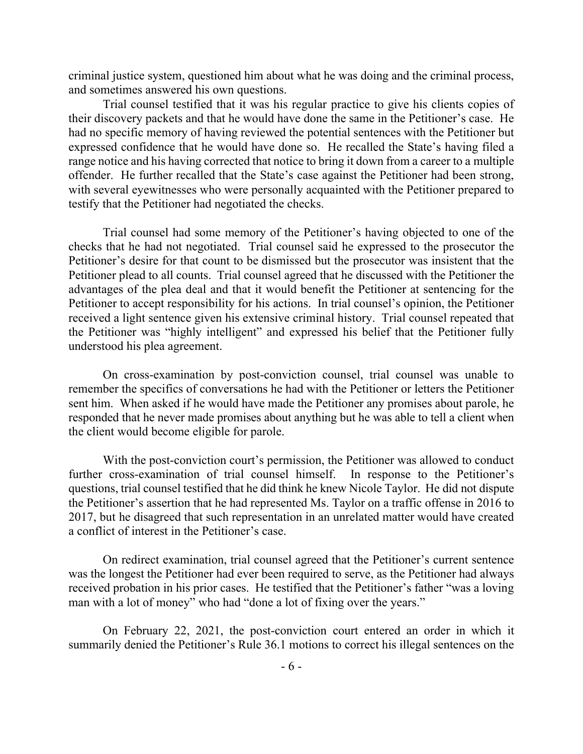criminal justice system, questioned him about what he was doing and the criminal process, and sometimes answered his own questions.

Trial counsel testified that it was his regular practice to give his clients copies of their discovery packets and that he would have done the same in the Petitioner's case. He had no specific memory of having reviewed the potential sentences with the Petitioner but expressed confidence that he would have done so. He recalled the State's having filed a range notice and his having corrected that notice to bring it down from a career to a multiple offender. He further recalled that the State's case against the Petitioner had been strong, with several eyewitnesses who were personally acquainted with the Petitioner prepared to testify that the Petitioner had negotiated the checks.

Trial counsel had some memory of the Petitioner's having objected to one of the checks that he had not negotiated. Trial counsel said he expressed to the prosecutor the Petitioner's desire for that count to be dismissed but the prosecutor was insistent that the Petitioner plead to all counts. Trial counsel agreed that he discussed with the Petitioner the advantages of the plea deal and that it would benefit the Petitioner at sentencing for the Petitioner to accept responsibility for his actions. In trial counsel's opinion, the Petitioner received a light sentence given his extensive criminal history. Trial counsel repeated that the Petitioner was "highly intelligent" and expressed his belief that the Petitioner fully understood his plea agreement.

On cross-examination by post-conviction counsel, trial counsel was unable to remember the specifics of conversations he had with the Petitioner or letters the Petitioner sent him. When asked if he would have made the Petitioner any promises about parole, he responded that he never made promises about anything but he was able to tell a client when the client would become eligible for parole.

With the post-conviction court's permission, the Petitioner was allowed to conduct further cross-examination of trial counsel himself. In response to the Petitioner's questions, trial counsel testified that he did think he knew Nicole Taylor. He did not dispute the Petitioner's assertion that he had represented Ms. Taylor on a traffic offense in 2016 to 2017, but he disagreed that such representation in an unrelated matter would have created a conflict of interest in the Petitioner's case.

On redirect examination, trial counsel agreed that the Petitioner's current sentence was the longest the Petitioner had ever been required to serve, as the Petitioner had always received probation in his prior cases. He testified that the Petitioner's father "was a loving man with a lot of money" who had "done a lot of fixing over the years."

On February 22, 2021, the post-conviction court entered an order in which it summarily denied the Petitioner's Rule 36.1 motions to correct his illegal sentences on the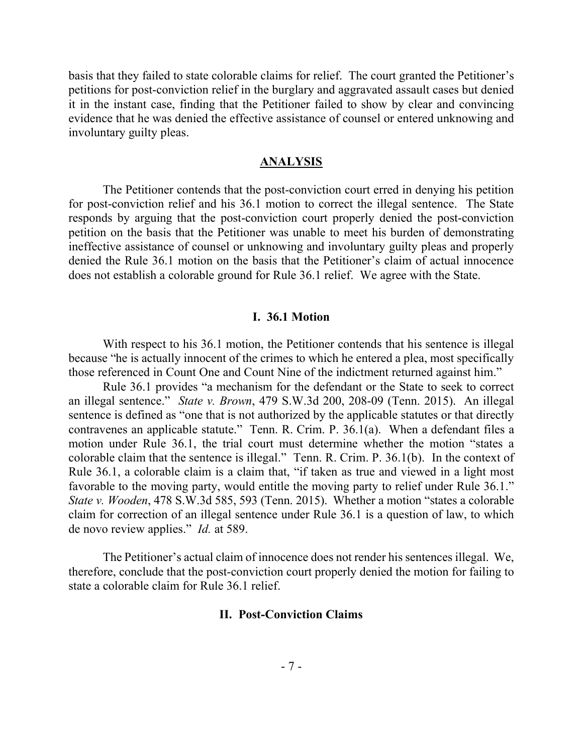basis that they failed to state colorable claims for relief. The court granted the Petitioner's petitions for post-conviction relief in the burglary and aggravated assault cases but denied it in the instant case, finding that the Petitioner failed to show by clear and convincing evidence that he was denied the effective assistance of counsel or entered unknowing and involuntary guilty pleas.

#### **ANALYSIS**

The Petitioner contends that the post-conviction court erred in denying his petition for post-conviction relief and his 36.1 motion to correct the illegal sentence. The State responds by arguing that the post-conviction court properly denied the post-conviction petition on the basis that the Petitioner was unable to meet his burden of demonstrating ineffective assistance of counsel or unknowing and involuntary guilty pleas and properly denied the Rule 36.1 motion on the basis that the Petitioner's claim of actual innocence does not establish a colorable ground for Rule 36.1 relief. We agree with the State.

#### **I. 36.1 Motion**

With respect to his 36.1 motion, the Petitioner contends that his sentence is illegal because "he is actually innocent of the crimes to which he entered a plea, most specifically those referenced in Count One and Count Nine of the indictment returned against him."

Rule 36.1 provides "a mechanism for the defendant or the State to seek to correct an illegal sentence." *State v. Brown*, 479 S.W.3d 200, 208-09 (Tenn. 2015). An illegal sentence is defined as "one that is not authorized by the applicable statutes or that directly contravenes an applicable statute." Tenn. R. Crim. P. 36.1(a). When a defendant files a motion under Rule 36.1, the trial court must determine whether the motion "states a colorable claim that the sentence is illegal." Tenn. R. Crim. P. 36.1(b). In the context of Rule 36.1, a colorable claim is a claim that, "if taken as true and viewed in a light most favorable to the moving party, would entitle the moving party to relief under Rule 36.1." *State v. Wooden*, 478 S.W.3d 585, 593 (Tenn. 2015). Whether a motion "states a colorable claim for correction of an illegal sentence under Rule 36.1 is a question of law, to which de novo review applies." *Id.* at 589.

The Petitioner's actual claim of innocence does not render his sentences illegal. We, therefore, conclude that the post-conviction court properly denied the motion for failing to state a colorable claim for Rule 36.1 relief.

#### **II. Post-Conviction Claims**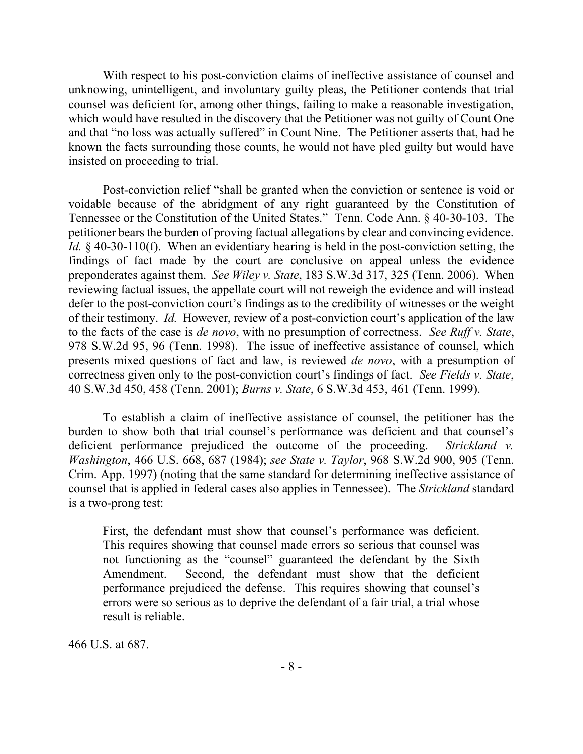With respect to his post-conviction claims of ineffective assistance of counsel and unknowing, unintelligent, and involuntary guilty pleas, the Petitioner contends that trial counsel was deficient for, among other things, failing to make a reasonable investigation, which would have resulted in the discovery that the Petitioner was not guilty of Count One and that "no loss was actually suffered" in Count Nine. The Petitioner asserts that, had he known the facts surrounding those counts, he would not have pled guilty but would have insisted on proceeding to trial.

Post-conviction relief "shall be granted when the conviction or sentence is void or voidable because of the abridgment of any right guaranteed by the Constitution of Tennessee or the Constitution of the United States." Tenn. Code Ann. § 40-30-103. The petitioner bears the burden of proving factual allegations by clear and convincing evidence. *Id.* § 40-30-110(f). When an evidentiary hearing is held in the post-conviction setting, the findings of fact made by the court are conclusive on appeal unless the evidence preponderates against them. *See Wiley v. State*, 183 S.W.3d 317, 325 (Tenn. 2006). When reviewing factual issues, the appellate court will not reweigh the evidence and will instead defer to the post-conviction court's findings as to the credibility of witnesses or the weight of their testimony. *Id.* However, review of a post-conviction court's application of the law to the facts of the case is *de novo*, with no presumption of correctness. *See Ruff v. State*, 978 S.W.2d 95, 96 (Tenn. 1998). The issue of ineffective assistance of counsel, which presents mixed questions of fact and law, is reviewed *de novo*, with a presumption of correctness given only to the post-conviction court's findings of fact. *See Fields v. State*, 40 S.W.3d 450, 458 (Tenn. 2001); *Burns v. State*, 6 S.W.3d 453, 461 (Tenn. 1999).

To establish a claim of ineffective assistance of counsel, the petitioner has the burden to show both that trial counsel's performance was deficient and that counsel's deficient performance prejudiced the outcome of the proceeding. *Strickland v. Washington*, 466 U.S. 668, 687 (1984); *see State v. Taylor*, 968 S.W.2d 900, 905 (Tenn. Crim. App. 1997) (noting that the same standard for determining ineffective assistance of counsel that is applied in federal cases also applies in Tennessee). The *Strickland* standard is a two-prong test:

First, the defendant must show that counsel's performance was deficient. This requires showing that counsel made errors so serious that counsel was not functioning as the "counsel" guaranteed the defendant by the Sixth Amendment. Second, the defendant must show that the deficient performance prejudiced the defense. This requires showing that counsel's errors were so serious as to deprive the defendant of a fair trial, a trial whose result is reliable.

466 U.S. at 687.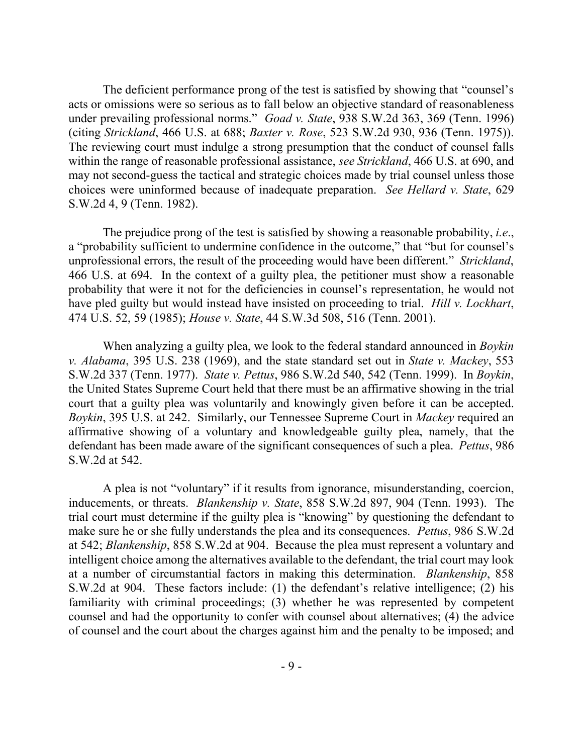The deficient performance prong of the test is satisfied by showing that "counsel's acts or omissions were so serious as to fall below an objective standard of reasonableness under prevailing professional norms." *Goad v. State*, 938 S.W.2d 363, 369 (Tenn. 1996) (citing *Strickland*, 466 U.S. at 688; *Baxter v. Rose*, 523 S.W.2d 930, 936 (Tenn. 1975)). The reviewing court must indulge a strong presumption that the conduct of counsel falls within the range of reasonable professional assistance, *see Strickland*, 466 U.S. at 690, and may not second-guess the tactical and strategic choices made by trial counsel unless those choices were uninformed because of inadequate preparation. *See Hellard v. State*, 629 S.W.2d 4, 9 (Tenn. 1982).

The prejudice prong of the test is satisfied by showing a reasonable probability, *i.e*., a "probability sufficient to undermine confidence in the outcome," that "but for counsel's unprofessional errors, the result of the proceeding would have been different." *Strickland*, 466 U.S. at 694. In the context of a guilty plea, the petitioner must show a reasonable probability that were it not for the deficiencies in counsel's representation, he would not have pled guilty but would instead have insisted on proceeding to trial. *Hill v. Lockhart*, 474 U.S. 52, 59 (1985); *House v. State*, 44 S.W.3d 508, 516 (Tenn. 2001).

When analyzing a guilty plea, we look to the federal standard announced in *Boykin v. Alabama*, 395 U.S. 238 (1969), and the state standard set out in *State v. Mackey*, 553 S.W.2d 337 (Tenn. 1977). *State v. Pettus*, 986 S.W.2d 540, 542 (Tenn. 1999). In *Boykin*, the United States Supreme Court held that there must be an affirmative showing in the trial court that a guilty plea was voluntarily and knowingly given before it can be accepted. *Boykin*, 395 U.S. at 242. Similarly, our Tennessee Supreme Court in *Mackey* required an affirmative showing of a voluntary and knowledgeable guilty plea, namely, that the defendant has been made aware of the significant consequences of such a plea. *Pettus*, 986 S.W.2d at 542.

A plea is not "voluntary" if it results from ignorance, misunderstanding, coercion, inducements, or threats. *Blankenship v. State*, 858 S.W.2d 897, 904 (Tenn. 1993). The trial court must determine if the guilty plea is "knowing" by questioning the defendant to make sure he or she fully understands the plea and its consequences. *Pettus*, 986 S.W.2d at 542; *Blankenship*, 858 S.W.2d at 904. Because the plea must represent a voluntary and intelligent choice among the alternatives available to the defendant, the trial court may look at a number of circumstantial factors in making this determination. *Blankenship*, 858 S.W.2d at 904. These factors include: (1) the defendant's relative intelligence; (2) his familiarity with criminal proceedings; (3) whether he was represented by competent counsel and had the opportunity to confer with counsel about alternatives; (4) the advice of counsel and the court about the charges against him and the penalty to be imposed; and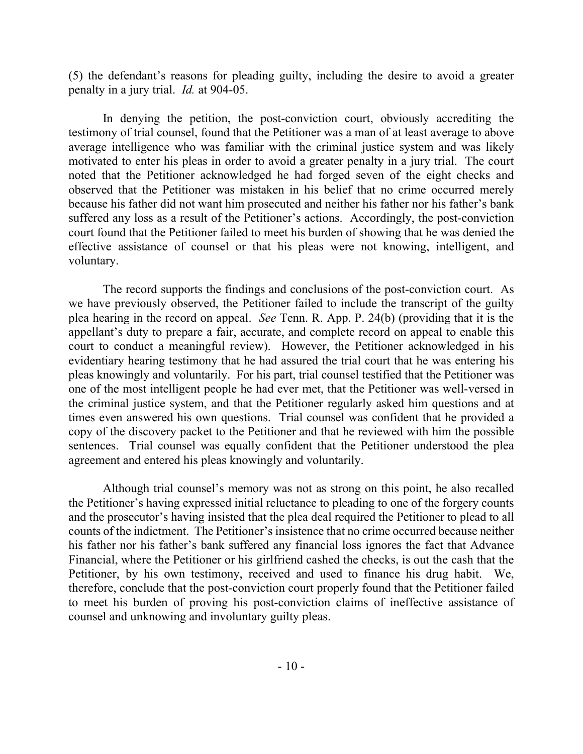(5) the defendant's reasons for pleading guilty, including the desire to avoid a greater penalty in a jury trial. *Id.* at 904-05.

In denying the petition, the post-conviction court, obviously accrediting the testimony of trial counsel, found that the Petitioner was a man of at least average to above average intelligence who was familiar with the criminal justice system and was likely motivated to enter his pleas in order to avoid a greater penalty in a jury trial. The court noted that the Petitioner acknowledged he had forged seven of the eight checks and observed that the Petitioner was mistaken in his belief that no crime occurred merely because his father did not want him prosecuted and neither his father nor his father's bank suffered any loss as a result of the Petitioner's actions. Accordingly, the post-conviction court found that the Petitioner failed to meet his burden of showing that he was denied the effective assistance of counsel or that his pleas were not knowing, intelligent, and voluntary.

The record supports the findings and conclusions of the post-conviction court. As we have previously observed, the Petitioner failed to include the transcript of the guilty plea hearing in the record on appeal. *See* Tenn. R. App. P. 24(b) (providing that it is the appellant's duty to prepare a fair, accurate, and complete record on appeal to enable this court to conduct a meaningful review). However, the Petitioner acknowledged in his evidentiary hearing testimony that he had assured the trial court that he was entering his pleas knowingly and voluntarily. For his part, trial counsel testified that the Petitioner was one of the most intelligent people he had ever met, that the Petitioner was well-versed in the criminal justice system, and that the Petitioner regularly asked him questions and at times even answered his own questions. Trial counsel was confident that he provided a copy of the discovery packet to the Petitioner and that he reviewed with him the possible sentences. Trial counsel was equally confident that the Petitioner understood the plea agreement and entered his pleas knowingly and voluntarily.

Although trial counsel's memory was not as strong on this point, he also recalled the Petitioner's having expressed initial reluctance to pleading to one of the forgery counts and the prosecutor's having insisted that the plea deal required the Petitioner to plead to all counts of the indictment. The Petitioner's insistence that no crime occurred because neither his father nor his father's bank suffered any financial loss ignores the fact that Advance Financial, where the Petitioner or his girlfriend cashed the checks, is out the cash that the Petitioner, by his own testimony, received and used to finance his drug habit. We, therefore, conclude that the post-conviction court properly found that the Petitioner failed to meet his burden of proving his post-conviction claims of ineffective assistance of counsel and unknowing and involuntary guilty pleas.